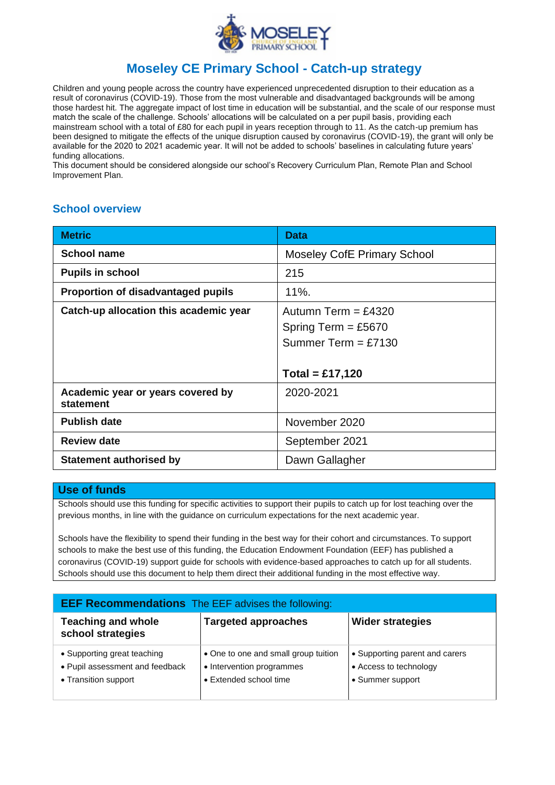

#### **Moseley CE Primary School - Catch-up strategy**

Children and young people across the country have experienced unprecedented disruption to their education as a result of coronavirus (COVID-19). Those from the most vulnerable and disadvantaged backgrounds will be among those hardest hit. The aggregate impact of lost time in education will be substantial, and the scale of our response must match the scale of the challenge. Schools' allocations will be calculated on a per pupil basis, providing each mainstream school with a total of £80 for each pupil in years reception through to 11. As the catch-up premium has been designed to mitigate the effects of the unique disruption caused by coronavirus (COVID-19), the grant will only be available for the 2020 to 2021 academic year. It will not be added to schools' baselines in calculating future years' funding allocations.

This document should be considered alongside our school's Recovery Curriculum Plan, Remote Plan and School Improvement Plan.

#### **School overview**

| <b>Metric</b>                                  | <b>Data</b>                                                           |
|------------------------------------------------|-----------------------------------------------------------------------|
| <b>School name</b>                             | <b>Moseley CofE Primary School</b>                                    |
| <b>Pupils in school</b>                        | 215                                                                   |
| Proportion of disadvantaged pupils             | $11%$ .                                                               |
| Catch-up allocation this academic year         | Autumn Term = $£4320$<br>Spring Term = £5670<br>Summer Term = $£7130$ |
|                                                | $Total = £17,120$                                                     |
| Academic year or years covered by<br>statement | 2020-2021                                                             |
| <b>Publish date</b>                            | November 2020                                                         |
| <b>Review date</b>                             | September 2021                                                        |
| <b>Statement authorised by</b>                 | Dawn Gallagher                                                        |

#### **Use of funds**

Schools should use this funding for specific activities to support their pupils to catch up for lost teaching over the previous months, in line with the guidance on curriculum expectations for the next academic year.

Schools have the flexibility to spend their funding in the best way for their cohort and circumstances. To support schools to make the best use of this funding, the Education Endowment Foundation (EEF) has published a coronavirus (COVID-19) support guide for schools with evidence-based approaches to catch up for all students. Schools should use this document to help them direct their additional funding in the most effective way.

| <b>EEF Recommendations</b> The EEF advises the following:                              |                                                                                             |                                                                              |  |  |
|----------------------------------------------------------------------------------------|---------------------------------------------------------------------------------------------|------------------------------------------------------------------------------|--|--|
| <b>Teaching and whole</b><br>school strategies                                         | <b>Targeted approaches</b>                                                                  | <b>Wider strategies</b>                                                      |  |  |
| • Supporting great teaching<br>• Pupil assessment and feedback<br>• Transition support | • One to one and small group tuition<br>• Intervention programmes<br>• Extended school time | • Supporting parent and carers<br>• Access to technology<br>• Summer support |  |  |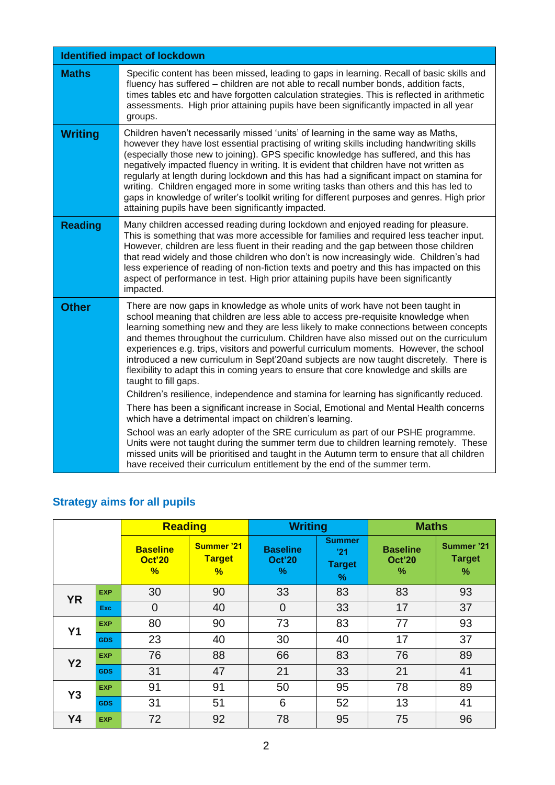|                | <b>Identified impact of lockdown</b>                                                                                                                                                                                                                                                                                                                                                                                                                                                                                                                                                                                                                                                                                                                 |
|----------------|------------------------------------------------------------------------------------------------------------------------------------------------------------------------------------------------------------------------------------------------------------------------------------------------------------------------------------------------------------------------------------------------------------------------------------------------------------------------------------------------------------------------------------------------------------------------------------------------------------------------------------------------------------------------------------------------------------------------------------------------------|
| <b>Maths</b>   | Specific content has been missed, leading to gaps in learning. Recall of basic skills and<br>fluency has suffered - children are not able to recall number bonds, addition facts,<br>times tables etc and have forgotten calculation strategies. This is reflected in arithmetic<br>assessments. High prior attaining pupils have been significantly impacted in all year<br>groups.                                                                                                                                                                                                                                                                                                                                                                 |
| <b>Writing</b> | Children haven't necessarily missed 'units' of learning in the same way as Maths,<br>however they have lost essential practising of writing skills including handwriting skills<br>(especially those new to joining). GPS specific knowledge has suffered, and this has<br>negatively impacted fluency in writing. It is evident that children have not written as<br>regularly at length during lockdown and this has had a significant impact on stamina for<br>writing. Children engaged more in some writing tasks than others and this has led to<br>gaps in knowledge of writer's toolkit writing for different purposes and genres. High prior<br>attaining pupils have been significantly impacted.                                          |
| <b>Reading</b> | Many children accessed reading during lockdown and enjoyed reading for pleasure.<br>This is something that was more accessible for families and required less teacher input.<br>However, children are less fluent in their reading and the gap between those children<br>that read widely and those children who don't is now increasingly wide. Children's had<br>less experience of reading of non-fiction texts and poetry and this has impacted on this<br>aspect of performance in test. High prior attaining pupils have been significantly<br>impacted.                                                                                                                                                                                       |
| <b>Other</b>   | There are now gaps in knowledge as whole units of work have not been taught in<br>school meaning that children are less able to access pre-requisite knowledge when<br>learning something new and they are less likely to make connections between concepts<br>and themes throughout the curriculum. Children have also missed out on the curriculum<br>experiences e.g. trips, visitors and powerful curriculum moments. However, the school<br>introduced a new curriculum in Sept'20and subjects are now taught discretely. There is<br>flexibility to adapt this in coming years to ensure that core knowledge and skills are<br>taught to fill gaps.<br>Children's resilience, independence and stamina for learning has significantly reduced. |
|                | There has been a significant increase in Social, Emotional and Mental Health concerns<br>which have a detrimental impact on children's learning.                                                                                                                                                                                                                                                                                                                                                                                                                                                                                                                                                                                                     |
|                | School was an early adopter of the SRE curriculum as part of our PSHE programme.<br>Units were not taught during the summer term due to children learning remotely. These<br>missed units will be prioritised and taught in the Autumn term to ensure that all children<br>have received their curriculum entitlement by the end of the summer term.                                                                                                                                                                                                                                                                                                                                                                                                 |

# **Strategy aims for all pupils**

|           |            | <b>Reading</b>                        |                                         | <b>Writing</b>                           |                                            | <b>Maths</b>                             |                                  |
|-----------|------------|---------------------------------------|-----------------------------------------|------------------------------------------|--------------------------------------------|------------------------------------------|----------------------------------|
|           |            | <b>Baseline</b><br><b>Oct'20</b><br>% | <b>Summer '21</b><br><b>Target</b><br>% | <b>Baseline</b><br><b>Oct'20</b><br>$\%$ | <b>Summer</b><br>'21<br><b>Target</b><br>% | <b>Baseline</b><br><b>Oct'20</b><br>$\%$ | Summer '21<br><b>Target</b><br>% |
| <b>YR</b> | <b>EXP</b> | 30                                    | 90                                      | 33                                       | 83                                         | 83                                       | 93                               |
|           | Exc.       | $\overline{0}$                        | 40                                      | $\overline{0}$                           | 33                                         | 17                                       | 37                               |
| <b>Y1</b> | <b>EXP</b> | 80                                    | 90                                      | 73                                       | 83                                         | 77                                       | 93                               |
|           | <b>GDS</b> | 23                                    | 40                                      | 30                                       | 40                                         | 17                                       | 37                               |
| <b>Y2</b> | <b>EXP</b> | 76                                    | 88                                      | 66                                       | 83                                         | 76                                       | 89                               |
|           | <b>GDS</b> | 31                                    | 47                                      | 21                                       | 33                                         | 21                                       | 41                               |
| <b>Y3</b> | <b>EXP</b> | 91                                    | 91                                      | 50                                       | 95                                         | 78                                       | 89                               |
|           | <b>GDS</b> | 31                                    | 51                                      | 6                                        | 52                                         | 13                                       | 41                               |
| <b>Y4</b> | <b>EXP</b> | 72                                    | 92                                      | 78                                       | 95                                         | 75                                       | 96                               |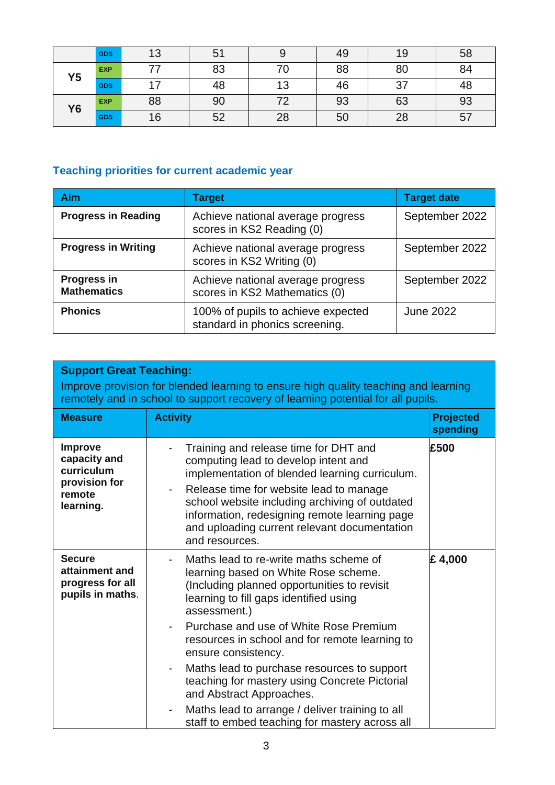|                | <b>GDS</b> |    | 51 |    | 49 | 19         | 58 |
|----------------|------------|----|----|----|----|------------|----|
| Y <sub>5</sub> | <b>EXP</b> |    | 83 |    | 88 | 80         | 84 |
|                | <b>GDS</b> |    | 48 | 13 | 46 | -27<br>ا ب | 48 |
| <b>Y6</b>      | <b>EXP</b> | 88 | 90 |    | 93 | 63         | 93 |
|                | <b>GDS</b> | 16 | 52 | 28 | 50 | 28         | 51 |

# **Teaching priorities for current academic year**

| <b>Aim</b>                               | <b>Target</b>                                                        | <b>Target date</b> |
|------------------------------------------|----------------------------------------------------------------------|--------------------|
| <b>Progress in Reading</b>               | Achieve national average progress<br>scores in KS2 Reading (0)       | September 2022     |
| <b>Progress in Writing</b>               | Achieve national average progress<br>scores in KS2 Writing (0)       | September 2022     |
| <b>Progress in</b><br><b>Mathematics</b> | Achieve national average progress<br>scores in KS2 Mathematics (0)   | September 2022     |
| <b>Phonics</b>                           | 100% of pupils to achieve expected<br>standard in phonics screening. | <b>June 2022</b>   |

| <b>Support Great Teaching:</b><br>Improve provision for blended learning to ensure high quality teaching and learning<br>remotely and in school to support recovery of learning potential for all pupils. |                                                                                                                                                                                                                                                                                                                                                                             |                              |  |
|-----------------------------------------------------------------------------------------------------------------------------------------------------------------------------------------------------------|-----------------------------------------------------------------------------------------------------------------------------------------------------------------------------------------------------------------------------------------------------------------------------------------------------------------------------------------------------------------------------|------------------------------|--|
| <b>Measure</b>                                                                                                                                                                                            | <b>Activity</b>                                                                                                                                                                                                                                                                                                                                                             | <b>Projected</b><br>spending |  |
| <b>Improve</b><br>capacity and<br>curriculum<br>provision for<br>remote<br>learning.                                                                                                                      | Training and release time for DHT and<br>computing lead to develop intent and<br>implementation of blended learning curriculum.<br>Release time for website lead to manage<br>$\overline{\phantom{a}}$<br>school website including archiving of outdated<br>information, redesigning remote learning page<br>and uploading current relevant documentation<br>and resources. | £500                         |  |
| <b>Secure</b><br>attainment and<br>progress for all<br>pupils in maths.                                                                                                                                   | Maths lead to re-write maths scheme of<br>learning based on White Rose scheme.<br>(Including planned opportunities to revisit<br>learning to fill gaps identified using<br>assessment.)                                                                                                                                                                                     | £4,000                       |  |
|                                                                                                                                                                                                           | Purchase and use of White Rose Premium<br>resources in school and for remote learning to<br>ensure consistency.                                                                                                                                                                                                                                                             |                              |  |
|                                                                                                                                                                                                           | Maths lead to purchase resources to support<br>$\overline{\phantom{a}}$<br>teaching for mastery using Concrete Pictorial<br>and Abstract Approaches.                                                                                                                                                                                                                        |                              |  |
|                                                                                                                                                                                                           | Maths lead to arrange / deliver training to all<br>$\overline{\phantom{0}}$<br>staff to embed teaching for mastery across all                                                                                                                                                                                                                                               |                              |  |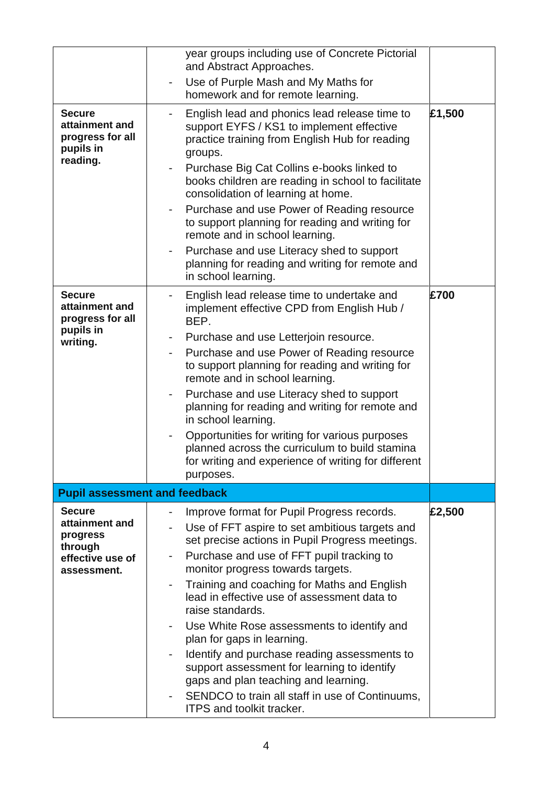|                                      | year groups including use of Concrete Pictorial                                                  |        |
|--------------------------------------|--------------------------------------------------------------------------------------------------|--------|
|                                      | and Abstract Approaches.                                                                         |        |
|                                      | Use of Purple Mash and My Maths for                                                              |        |
|                                      | homework and for remote learning.                                                                |        |
| <b>Secure</b>                        |                                                                                                  | £1,500 |
| attainment and                       | English lead and phonics lead release time to<br>support EYFS / KS1 to implement effective       |        |
| progress for all                     | practice training from English Hub for reading                                                   |        |
| pupils in                            | groups.                                                                                          |        |
| reading.                             | Purchase Big Cat Collins e-books linked to                                                       |        |
|                                      | books children are reading in school to facilitate                                               |        |
|                                      | consolidation of learning at home.                                                               |        |
|                                      | Purchase and use Power of Reading resource                                                       |        |
|                                      | to support planning for reading and writing for                                                  |        |
|                                      | remote and in school learning.                                                                   |        |
|                                      | Purchase and use Literacy shed to support                                                        |        |
|                                      | planning for reading and writing for remote and                                                  |        |
|                                      | in school learning.                                                                              |        |
| <b>Secure</b>                        | English lead release time to undertake and                                                       | £700   |
| attainment and                       | implement effective CPD from English Hub /                                                       |        |
| progress for all<br>pupils in        | BEP.                                                                                             |        |
| writing.                             | Purchase and use Letterjoin resource.<br>۰                                                       |        |
|                                      | Purchase and use Power of Reading resource                                                       |        |
|                                      | to support planning for reading and writing for                                                  |        |
|                                      | remote and in school learning.                                                                   |        |
|                                      | Purchase and use Literacy shed to support                                                        |        |
|                                      | planning for reading and writing for remote and<br>in school learning.                           |        |
|                                      |                                                                                                  |        |
|                                      | Opportunities for writing for various purposes<br>planned across the curriculum to build stamina |        |
|                                      | for writing and experience of writing for different                                              |        |
|                                      | purposes.                                                                                        |        |
| <b>Pupil assessment and feedback</b> |                                                                                                  |        |
|                                      |                                                                                                  |        |
| <b>Secure</b><br>attainment and      | Improve format for Pupil Progress records.                                                       | £2,500 |
| progress                             | Use of FFT aspire to set ambitious targets and                                                   |        |
| through                              | set precise actions in Pupil Progress meetings.                                                  |        |
| effective use of                     | Purchase and use of FFT pupil tracking to<br>۰                                                   |        |
| assessment.                          | monitor progress towards targets.                                                                |        |
|                                      | Training and coaching for Maths and English<br>lead in effective use of assessment data to       |        |
|                                      | raise standards.                                                                                 |        |
|                                      | Use White Rose assessments to identify and                                                       |        |
|                                      | plan for gaps in learning.                                                                       |        |
|                                      | Identify and purchase reading assessments to                                                     |        |
|                                      | support assessment for learning to identify                                                      |        |
|                                      | gaps and plan teaching and learning.                                                             |        |
|                                      | SENDCO to train all staff in use of Continuums,                                                  |        |
|                                      | <b>ITPS and toolkit tracker.</b>                                                                 |        |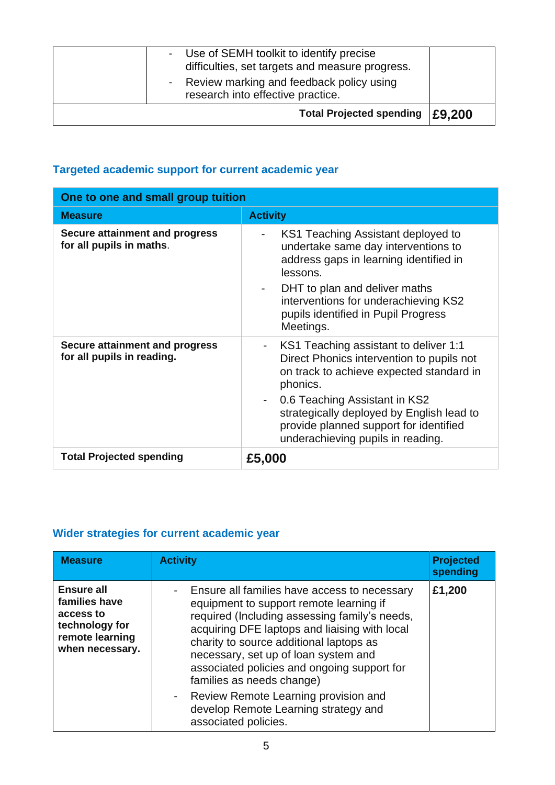| - Use of SEMH toolkit to identify precise<br>difficulties, set targets and measure progress.<br>- Review marking and feedback policy using<br>research into effective practice. |        |
|---------------------------------------------------------------------------------------------------------------------------------------------------------------------------------|--------|
| <b>Total Projected spending</b>                                                                                                                                                 | E9.200 |

### **Targeted academic support for current academic year**

|                                                                     | One to one and small group tuition                                                                                                                                                                                                                                                                                        |  |  |  |  |
|---------------------------------------------------------------------|---------------------------------------------------------------------------------------------------------------------------------------------------------------------------------------------------------------------------------------------------------------------------------------------------------------------------|--|--|--|--|
| <b>Measure</b>                                                      | <b>Activity</b>                                                                                                                                                                                                                                                                                                           |  |  |  |  |
| Secure attainment and progress<br>for all pupils in maths.          | KS1 Teaching Assistant deployed to<br>undertake same day interventions to<br>address gaps in learning identified in<br>lessons.<br>DHT to plan and deliver maths<br>interventions for underachieving KS2<br>pupils identified in Pupil Progress<br>Meetings.                                                              |  |  |  |  |
| <b>Secure attainment and progress</b><br>for all pupils in reading. | KS1 Teaching assistant to deliver 1:1<br>Direct Phonics intervention to pupils not<br>on track to achieve expected standard in<br>phonics.<br>0.6 Teaching Assistant in KS2<br>$\blacksquare$<br>strategically deployed by English lead to<br>provide planned support for identified<br>underachieving pupils in reading. |  |  |  |  |
| <b>Total Projected spending</b>                                     | £5,000                                                                                                                                                                                                                                                                                                                    |  |  |  |  |

#### **Wider strategies for current academic year**

| <b>Measure</b>                                                                                          | <b>Activity</b>                                                                                                                                                                                                                                                                                                                                          | <b>Projected</b><br>spending |
|---------------------------------------------------------------------------------------------------------|----------------------------------------------------------------------------------------------------------------------------------------------------------------------------------------------------------------------------------------------------------------------------------------------------------------------------------------------------------|------------------------------|
| <b>Ensure all</b><br>families have<br>access to<br>technology for<br>remote learning<br>when necessary. | Ensure all families have access to necessary<br>equipment to support remote learning if<br>required (Including assessing family's needs,<br>acquiring DFE laptops and liaising with local<br>charity to source additional laptops as<br>necessary, set up of loan system and<br>associated policies and ongoing support for<br>families as needs change) | £1,200                       |
|                                                                                                         | - Review Remote Learning provision and<br>develop Remote Learning strategy and<br>associated policies.                                                                                                                                                                                                                                                   |                              |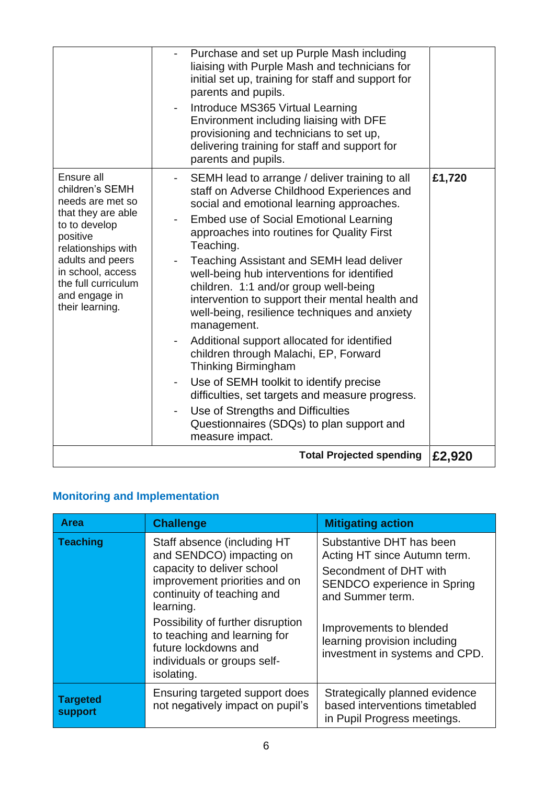|                                                                                                                                                                                                                                | Purchase and set up Purple Mash including<br>liaising with Purple Mash and technicians for<br>initial set up, training for staff and support for<br>parents and pupils.<br>Introduce MS365 Virtual Learning<br>Environment including liaising with DFE<br>provisioning and technicians to set up,<br>delivering training for staff and support for<br>parents and pupils.                                                                                                                                                                                                                                                                                                                                                                                                                                                                                                                     |        |
|--------------------------------------------------------------------------------------------------------------------------------------------------------------------------------------------------------------------------------|-----------------------------------------------------------------------------------------------------------------------------------------------------------------------------------------------------------------------------------------------------------------------------------------------------------------------------------------------------------------------------------------------------------------------------------------------------------------------------------------------------------------------------------------------------------------------------------------------------------------------------------------------------------------------------------------------------------------------------------------------------------------------------------------------------------------------------------------------------------------------------------------------|--------|
| Ensure all<br>children's SEMH<br>needs are met so<br>that they are able<br>to to develop<br>positive<br>relationships with<br>adults and peers<br>in school, access<br>the full curriculum<br>and engage in<br>their learning. | SEMH lead to arrange / deliver training to all<br>staff on Adverse Childhood Experiences and<br>social and emotional learning approaches.<br><b>Embed use of Social Emotional Learning</b><br>$\overline{\phantom{a}}$<br>approaches into routines for Quality First<br>Teaching.<br>Teaching Assistant and SEMH lead deliver<br>well-being hub interventions for identified<br>children. 1:1 and/or group well-being<br>intervention to support their mental health and<br>well-being, resilience techniques and anxiety<br>management.<br>Additional support allocated for identified<br>children through Malachi, EP, Forward<br><b>Thinking Birmingham</b><br>Use of SEMH toolkit to identify precise<br>$\overline{\phantom{a}}$<br>difficulties, set targets and measure progress.<br>Use of Strengths and Difficulties<br>Questionnaires (SDQs) to plan support and<br>measure impact. | £1,720 |
|                                                                                                                                                                                                                                | <b>Total Projected spending</b>                                                                                                                                                                                                                                                                                                                                                                                                                                                                                                                                                                                                                                                                                                                                                                                                                                                               | £2,920 |

# **Monitoring and Implementation**

| <b>Area</b>                | <b>Challenge</b>                                                                                                                                                                                                                                                                                            | <b>Mitigating action</b>                                                                                                                                                                                                           |
|----------------------------|-------------------------------------------------------------------------------------------------------------------------------------------------------------------------------------------------------------------------------------------------------------------------------------------------------------|------------------------------------------------------------------------------------------------------------------------------------------------------------------------------------------------------------------------------------|
| <b>Teaching</b>            | Staff absence (including HT<br>and SENDCO) impacting on<br>capacity to deliver school<br>improvement priorities and on<br>continuity of teaching and<br>learning.<br>Possibility of further disruption<br>to teaching and learning for<br>future lockdowns and<br>individuals or groups self-<br>isolating. | Substantive DHT has been<br>Acting HT since Autumn term.<br>Secondment of DHT with<br>SENDCO experience in Spring<br>and Summer term.<br>Improvements to blended<br>learning provision including<br>investment in systems and CPD. |
| <b>Targeted</b><br>support | Ensuring targeted support does<br>not negatively impact on pupil's                                                                                                                                                                                                                                          | Strategically planned evidence<br>based interventions timetabled<br>in Pupil Progress meetings.                                                                                                                                    |